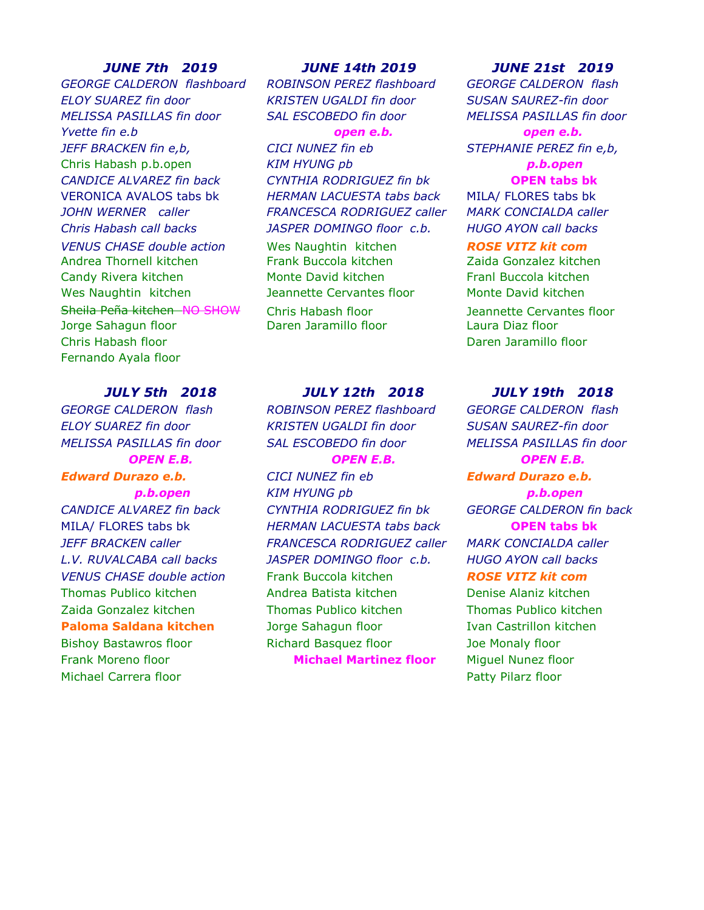*GEORGE CALDERON flashboard ROBINSON PEREZ flashboard GEORGE CALDERON flash ELOY SUAREZ fin door KRISTEN UGALDI fin door SUSAN SAUREZ-fin door MELISSA PASILLAS fin door SAL ESCOBEDO fin door MELISSA PASILLAS fin door Yvette fin e.b open e.b. open e.b. JEFF BRACKEN fin e,b, CICI NUNEZ fin eb STEPHANIE PEREZ fin e,b,* Chris Habash p.b.open *KIM HYUNG pb p.b.open CANDICE ALVAREZ fin back CYNTHIA RODRIGUEZ fin bk* **OPEN tabs bk** VERONICA AVALOS tabs bk *HERMAN LACUESTA tabs back* MILA/ FLORES tabs bk *JOHN WERNER caller FRANCESCA RODRIGUEZ caller MARK CONCIALDA caller Chris Habash call backs JASPER DOMINGO floor c.b. HUGO AYON call backs VENUS CHASE double action* Wes Naughtin kitchen *ROSE VITZ kit com* Andrea Thornell kitchen Frank Buccola kitchen Zaida Gonzalez kitchen Candy Rivera kitchen Monte David kitchen Franl Buccola kitchen Wes Naughtin kitchen and Jeannette Cervantes floor and Monte David kitchen Sheila Peña kitchen NO SHOW Chris Habash floor and all all all all Deannette Cervantes floor Jorge Sahagun floor Daren Jaramillo floor Laura Diaz floor Chris Habash floor Daren Jaramillo floor Fernando Ayala floor

*GEORGE CALDERON flash ROBINSON PEREZ flashboard GEORGE CALDERON flash*

Michael Carrera floor **Patty Pilarz floor** Patty Pilarz floor

*ELOY SUAREZ fin door KRISTEN UGALDI fin door SUSAN SAUREZ-fin door MELISSA PASILLAS fin door SAL ESCOBEDO fin door MELISSA PASILLAS fin door*

*Edward Durazo e.b. CICI NUNEZ fin eb Edward Durazo e.b. p.b.open KIM HYUNG pb p.b.open CANDICE ALVAREZ fin back CYNTHIA RODRIGUEZ fin bk GEORGE CALDERON fin back* MILA/ FLORES tabs bk *HERMAN LACUESTA tabs back* **OPEN tabs bk** *JEFF BRACKEN caller FRANCESCA RODRIGUEZ caller MARK CONCIALDA caller L.V. RUVALCABA call backs JASPER DOMINGO floor c.b. HUGO AYON call backs VENUS CHASE double action* Frank Buccola kitchen *ROSE VITZ kit com* Thomas Publico kitchen Andrea Batista kitchen Denise Alaniz kitchen Zaida Gonzalez kitchen Thomas Publico kitchen Thomas Publico kitchen **Paloma Saldana kitchen** Jorge Sahagun floor **Ivan Castrillon kitchen** Bishoy Bastawros floor Richard Basquez floor Joe Monaly floor Frank Moreno floor **Michael Martinez floor** Miguel Nunez floor

### *JUNE 7th 2019 JUNE 14th 2019 JUNE 21st 2019*

### *JULY 5th 2018 JULY 12th 2018 JULY 19th 2018*

*OPEN E.B. OPEN E.B. OPEN E.B.*